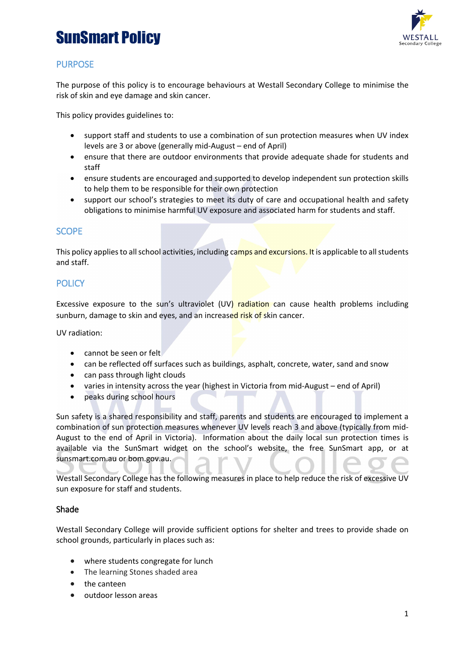# SunSmart Policy



## PURPOSE

The purpose of this policy is to encourage behaviours at Westall Secondary College to minimise the risk of skin and eye damage and skin cancer.

This policy provides guidelines to:

- support staff and students to use a combination of sun protection measures when UV index levels are 3 or above (generally mid-August – end of April)
- ensure that there are outdoor environments that provide adequate shade for students and staff
- ensure students are encouraged and supported to develop independent sun protection skills to help them to be responsible for their own protection
- support our school's strategies to meet its duty of care and occupational health and safety obligations to minimise harmful UV exposure and associated harm for students and staff.

### **SCOPE**

This policy applies to all school activities, including camps and excursions. It is applicable to all students and staff.

### **POLICY**

Excessive exposure to the sun's ultraviolet (UV) radiation can cause health problems including sunburn, damage to skin and eyes, and an increased risk of skin cancer.

UV radiation:

- cannot be seen or felt
- can be reflected off surfaces such as buildings, asphalt, concrete, water, sand and snow
- can pass through light clouds
- varies in intensity across the year (highest in Victoria from mid-August end of April)
- peaks during school hours

Sun safety is a shared responsibility and staff, parents and students are encouraged to implement a combination of sun protection measures whenever UV levels reach 3 and above (typically from mid-August to the end of April in Victoria). Information about the daily local sun protection times is available via the [SunSmart widget](http://www.sunsmart.com.au/uv-sun-protection/uv/uv-widget) on the school's website, the free [SunSmart app,](http://www.sunsmart.com.au/tools/interactive-tools/free-sunsmart-app) or at [sunsmart.com.au](http://www.sunsmart.com.au/) or bom.gov.au.

Westall Secondary College has the following measures in place to help reduce the risk of excessive UV sun exposure for staff and students.

#### Shade

Westall Secondary College will provide sufficient options for shelter and trees to provide shade on school grounds, particularly in places such as:

- where students congregate for lunch
- The learning Stones shaded area
- the canteen
- outdoor lesson areas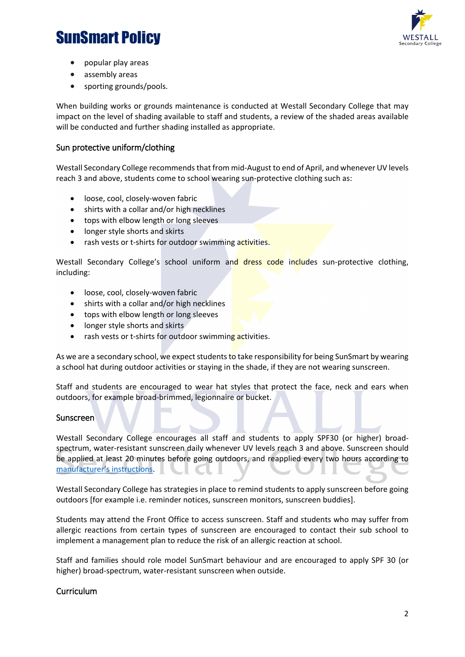# SunSmart Policy



- popular play areas
- assembly areas
- sporting grounds/pools.

When building works or grounds maintenance is conducted at Westall Secondary College that may impact on the level of shading available to staff and students, a review of the shaded areas available will be conducted and further shading installed as appropriate.

#### Sun protective uniform/clothing

Westall Secondary College recommends that from mid-August to end of April, and whenever UV levels reach 3 and above, students come to school wearing sun-protective clothing such as:

- loose, cool, closely-woven fabric
- shirts with a collar and/or high necklines
- tops with elbow length or long sleeves
- longer style shorts and skirts
- rash vests or t-shirts for outdoor swimming activities.

Westall Secondary College's school uniform and dress code includes sun-protective clothing, including:

- loose, cool, closely-woven fabric
- shirts with a collar and/or high necklines
- tops with elbow length or long sleeves
- longer style shorts and skirts
- rash vests or t-shirts for outdoor swimming activities.

As we are a secondary school, we expect students to take responsibility for being SunSmart by wearing a school hat during outdoor activities or staying in the shade, if they are not wearing sunscreen.

Staff and students are encouraged to wear hat styles that protect the face, neck and ears when outdoors, for example broad-brimmed, legionnaire or bucket.

#### Sunscreen

Westall Secondary College encourages all staff and students to apply SPF30 (or higher) broadspectrum, water-resistant sunscreen daily whenever UV levels reach 3 and above. Sunscreen should be applied at least 20 minutes before going outdoors, and reapplied every two hours according to [manufacturer's instructions.](https://www.tga.gov.au/book/4-labelling-and-advertising) JE CU JE

Westall Secondary College has strategies in place to remind students to apply sunscreen before going outdoors [for example i.e. reminder notices, sunscreen monitors, sunscreen buddies].

Students may attend the Front Office to access sunscreen. Staff and students who may suffer from allergic reactions from certain types of sunscreen are encouraged to contact their sub school to implement a management plan to reduce the risk of an allergic reaction at school.

Staff and families should role model SunSmart behaviour and are encouraged to apply SPF 30 (or higher) broad-spectrum, water-resistant sunscreen when outside.

#### **Curriculum**